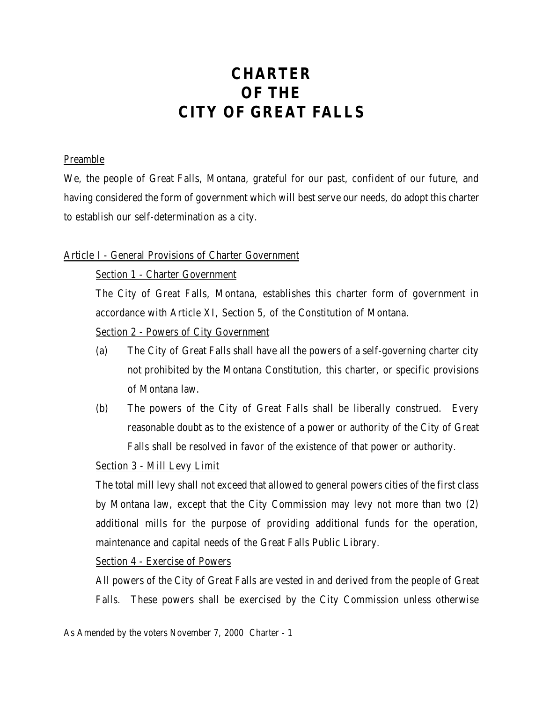# **CHARTER OF THE CITY OF GREAT FALLS**

#### Preamble

We, the people of Great Falls, Montana, grateful for our past, confident of our future, and having considered the form of government which will best serve our needs, do adopt this charter to establish our self-determination as a city.

#### Article I - General Provisions of Charter Government

Section 1 - Charter Government

The City of Great Falls, Montana, establishes this charter form of government in accordance with Article XI, Section 5, of the Constitution of Montana.

Section 2 - Powers of City Government

- (a) The City of Great Falls shall have all the powers of a self-governing charter city not prohibited by the Montana Constitution, this charter, or specific provisions of Montana law.
- (b) The powers of the City of Great Falls shall be liberally construed. Every reasonable doubt as to the existence of a power or authority of the City of Great Falls shall be resolved in favor of the existence of that power or authority.

## Section 3 - Mill Levy Limit

The total mill levy shall not exceed that allowed to general powers cities of the first class by Montana law, except that the City Commission may levy not more than two (2) additional mills for the purpose of providing additional funds for the operation, maintenance and capital needs of the Great Falls Public Library.

Section 4 - Exercise of Powers

All powers of the City of Great Falls are vested in and derived from the people of Great Falls. These powers shall be exercised by the City Commission unless otherwise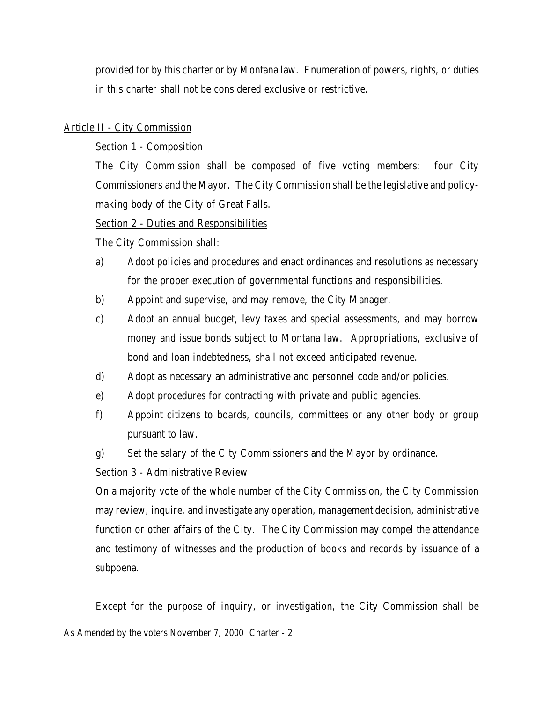provided for by this charter or by Montana law. Enumeration of powers, rights, or duties in this charter shall not be considered exclusive or restrictive.

#### Article II - City Commission

Section 1 - Composition

The City Commission shall be composed of five voting members: four City Commissioners and the Mayor. The City Commission shall be the legislative and policymaking body of the City of Great Falls.

Section 2 - Duties and Responsibilities

The City Commission shall:

- a) Adopt policies and procedures and enact ordinances and resolutions as necessary for the proper execution of governmental functions and responsibilities.
- b) Appoint and supervise, and may remove, the City Manager.
- c) Adopt an annual budget, levy taxes and special assessments, and may borrow money and issue bonds subject to Montana law. Appropriations, exclusive of bond and loan indebtedness, shall not exceed anticipated revenue.
- d) Adopt as necessary an administrative and personnel code and/or policies.
- e) Adopt procedures for contracting with private and public agencies.
- f) Appoint citizens to boards, councils, committees or any other body or group pursuant to law.
- g) Set the salary of the City Commissioners and the Mayor by ordinance.

## Section 3 - Administrative Review

On a majority vote of the whole number of the City Commission, the City Commission may review, inquire, and investigate any operation, management decision, administrative function or other affairs of the City. The City Commission may compel the attendance and testimony of witnesses and the production of books and records by issuance of a subpoena.

As Amended by the voters November 7, 2000 Charter - 2 Except for the purpose of inquiry, or investigation, the City Commission shall be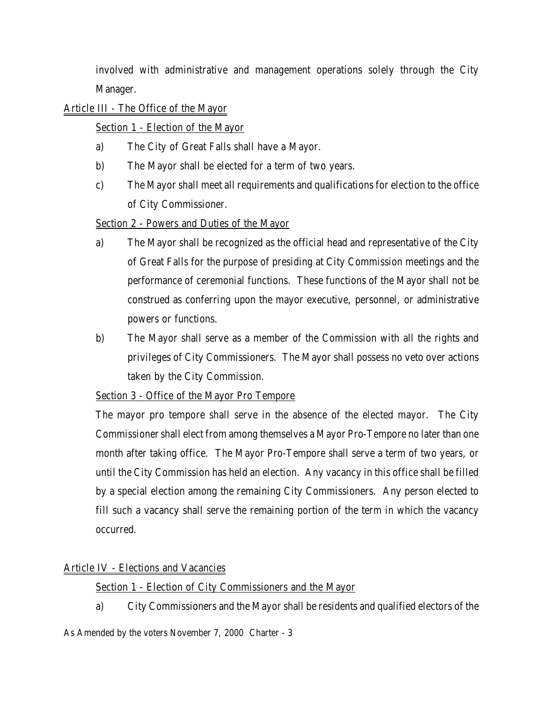involved with administrative and management operations solely through the City Manager.

## Article III - The Office of the Mayor

# Section 1 - Election of the Mayor

- a) The City of Great Falls shall have a Mayor.
- b) The Mayor shall be elected for a term of two years.
- c) The Mayor shall meet all requirements and qualifications for election to the office of City Commissioner.

# Section 2 - Powers and Duties of the Mayor

- a) The Mayor shall be recognized as the official head and representative of the City of Great Falls for the purpose of presiding at City Commission meetings and the performance of ceremonial functions. These functions of the Mayor shall not be construed as conferring upon the mayor executive, personnel, or administrative powers or functions.
- b) The Mayor shall serve as a member of the Commission with all the rights and privileges of City Commissioners. The Mayor shall possess no veto over actions taken by the City Commission.

## Section 3 - Office of the Mayor Pro Tempore

The mayor pro tempore shall serve in the absence of the elected mayor. The City Commissioner shall elect from among themselves a Mayor Pro-Tempore no later than one month after taking office. The Mayor Pro-Tempore shall serve a term of two years, or until the City Commission has held an election. Any vacancy in this office shall be filled by a special election among the remaining City Commissioners. Any person elected to fill such a vacancy shall serve the remaining portion of the term in which the vacancy occurred.

## Article IV - Elections and Vacancies

Section 1 - Election of City Commissioners and the Mayor

a) City Commissioners and the Mayor shall be residents and qualified electors of the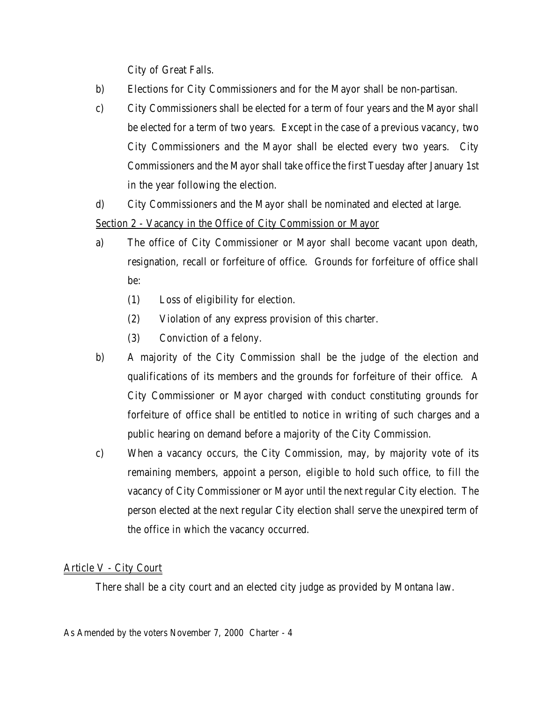City of Great Falls.

- b) Elections for City Commissioners and for the Mayor shall be non-partisan.
- c) City Commissioners shall be elected for a term of four years and the Mayor shall be elected for a term of two years. Except in the case of a previous vacancy, two City Commissioners and the Mayor shall be elected every two years. City Commissioners and the Mayor shall take office the first Tuesday after January 1st in the year following the election.
- d) City Commissioners and the Mayor shall be nominated and elected at large.

Section 2 - Vacancy in the Office of City Commission or Mayor

- a) The office of City Commissioner or Mayor shall become vacant upon death, resignation, recall or forfeiture of office. Grounds for forfeiture of office shall be:
	- (1) Loss of eligibility for election.
	- (2) Violation of any express provision of this charter.
	- (3) Conviction of a felony.
- b) A majority of the City Commission shall be the judge of the election and qualifications of its members and the grounds for forfeiture of their office. A City Commissioner or Mayor charged with conduct constituting grounds for forfeiture of office shall be entitled to notice in writing of such charges and a public hearing on demand before a majority of the City Commission.
- c) When a vacancy occurs, the City Commission, may, by majority vote of its remaining members, appoint a person, eligible to hold such office, to fill the vacancy of City Commissioner or Mayor until the next regular City election. The person elected at the next regular City election shall serve the unexpired term of the office in which the vacancy occurred.

# Article V - City Court

There shall be a city court and an elected city judge as provided by Montana law.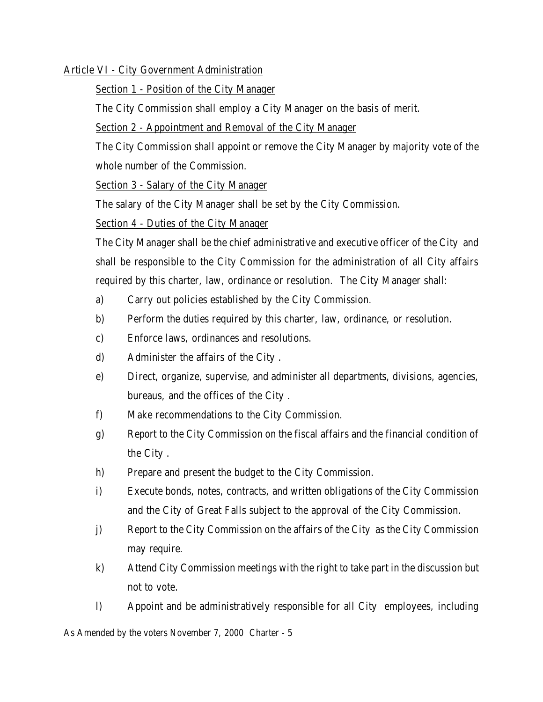#### Article VI - City Government Administration

Section 1 - Position of the City Manager

The City Commission shall employ a City Manager on the basis of merit.

Section 2 - Appointment and Removal of the City Manager

The City Commission shall appoint or remove the City Manager by majority vote of the whole number of the Commission.

Section 3 - Salary of the City Manager

The salary of the City Manager shall be set by the City Commission.

Section 4 - Duties of the City Manager

The City Manager shall be the chief administrative and executive officer of the City and shall be responsible to the City Commission for the administration of all City affairs required by this charter, law, ordinance or resolution. The City Manager shall:

- a) Carry out policies established by the City Commission.
- b) Perform the duties required by this charter, law, ordinance, or resolution.
- c) Enforce laws, ordinances and resolutions.
- d) Administer the affairs of the City .
- e) Direct, organize, supervise, and administer all departments, divisions, agencies, bureaus, and the offices of the City .
- f) Make recommendations to the City Commission.
- g) Report to the City Commission on the fiscal affairs and the financial condition of the City .
- h) Prepare and present the budget to the City Commission.
- i) Execute bonds, notes, contracts, and written obligations of the City Commission and the City of Great Falls subject to the approval of the City Commission.
- j) Report to the City Commission on the affairs of the City as the City Commission may require.
- k) Attend City Commission meetings with the right to take part in the discussion but not to vote.
- l) Appoint and be administratively responsible for all City employees, including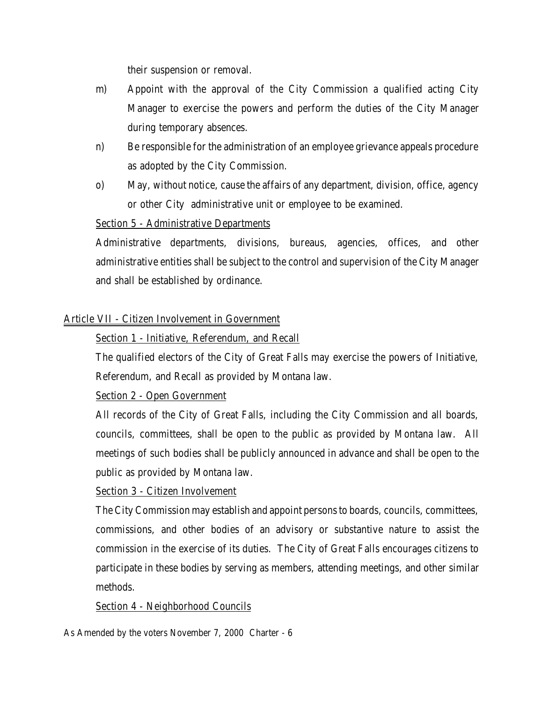their suspension or removal.

- m) Appoint with the approval of the City Commission a qualified acting City Manager to exercise the powers and perform the duties of the City Manager during temporary absences.
- n) Be responsible for the administration of an employee grievance appeals procedure as adopted by the City Commission.
- o) May, without notice, cause the affairs of any department, division, office, agency or other City administrative unit or employee to be examined.

## Section 5 - Administrative Departments

Administrative departments, divisions, bureaus, agencies, offices, and other administrative entities shall be subject to the control and supervision of the City Manager and shall be established by ordinance.

# Article VII - Citizen Involvement in Government

## Section 1 - Initiative, Referendum, and Recall

The qualified electors of the City of Great Falls may exercise the powers of Initiative, Referendum, and Recall as provided by Montana law.

Section 2 - Open Government

All records of the City of Great Falls, including the City Commission and all boards, councils, committees, shall be open to the public as provided by Montana law. All meetings of such bodies shall be publicly announced in advance and shall be open to the public as provided by Montana law.

## Section 3 - Citizen Involvement

The City Commission may establish and appoint persons to boards, councils, committees, commissions, and other bodies of an advisory or substantive nature to assist the commission in the exercise of its duties. The City of Great Falls encourages citizens to participate in these bodies by serving as members, attending meetings, and other similar methods.

## Section 4 - Neighborhood Councils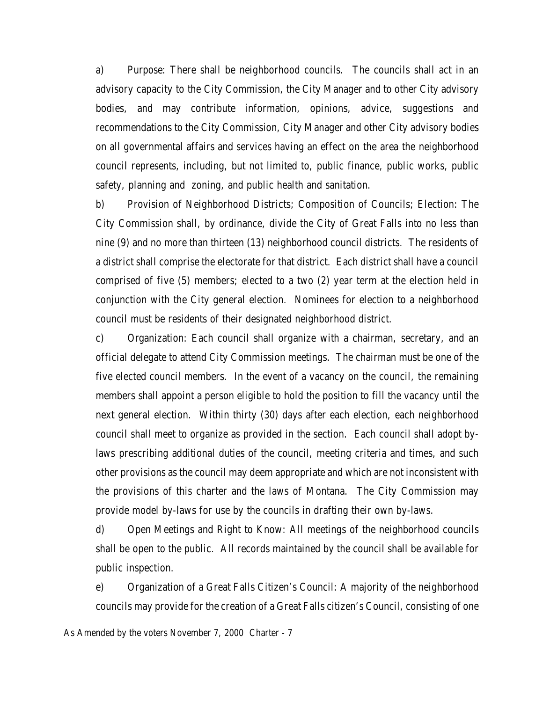a) Purpose: There shall be neighborhood councils. The councils shall act in an advisory capacity to the City Commission, the City Manager and to other City advisory bodies, and may contribute information, opinions, advice, suggestions and recommendations to the City Commission, City Manager and other City advisory bodies on all governmental affairs and services having an effect on the area the neighborhood council represents, including, but not limited to, public finance, public works, public safety, planning and zoning, and public health and sanitation.

b) Provision of Neighborhood Districts; Composition of Councils; Election: The City Commission shall, by ordinance, divide the City of Great Falls into no less than nine (9) and no more than thirteen (13) neighborhood council districts. The residents of a district shall comprise the electorate for that district. Each district shall have a council comprised of five (5) members; elected to a two (2) year term at the election held in conjunction with the City general election. Nominees for election to a neighborhood council must be residents of their designated neighborhood district.

c) Organization: Each council shall organize with a chairman, secretary, and an official delegate to attend City Commission meetings. The chairman must be one of the five elected council members. In the event of a vacancy on the council, the remaining members shall appoint a person eligible to hold the position to fill the vacancy until the next general election. Within thirty (30) days after each election, each neighborhood council shall meet to organize as provided in the section. Each council shall adopt bylaws prescribing additional duties of the council, meeting criteria and times, and such other provisions as the council may deem appropriate and which are not inconsistent with the provisions of this charter and the laws of Montana. The City Commission may provide model by-laws for use by the councils in drafting their own by-laws.

d) Open Meetings and Right to Know: All meetings of the neighborhood councils shall be open to the public. All records maintained by the council shall be available for public inspection.

e) Organization of a Great Falls Citizen's Council: A majority of the neighborhood councils may provide for the creation of a Great Falls citizen's Council, consisting of one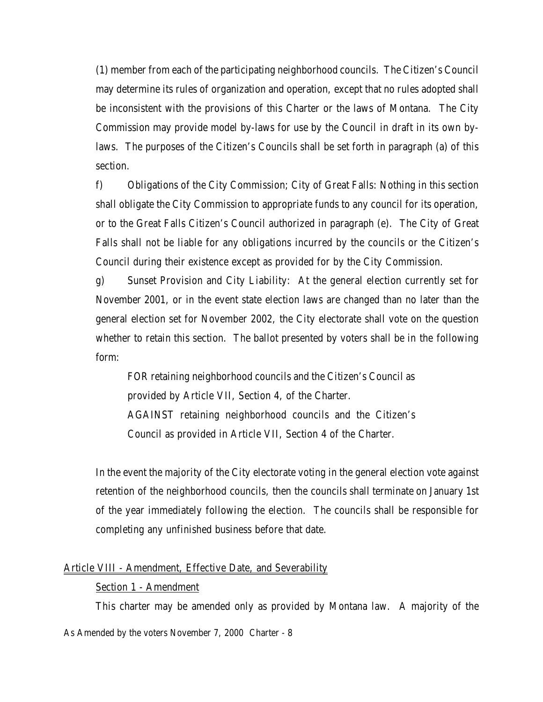(1) member from each of the participating neighborhood councils. The Citizen's Council may determine its rules of organization and operation, except that no rules adopted shall be inconsistent with the provisions of this Charter or the laws of Montana. The City Commission may provide model by-laws for use by the Council in draft in its own bylaws. The purposes of the Citizen's Councils shall be set forth in paragraph (a) of this section.

f) Obligations of the City Commission; City of Great Falls: Nothing in this section shall obligate the City Commission to appropriate funds to any council for its operation, or to the Great Falls Citizen's Council authorized in paragraph (e). The City of Great Falls shall not be liable for any obligations incurred by the councils or the Citizen's Council during their existence except as provided for by the City Commission.

g) Sunset Provision and City Liability: At the general election currently set for November 2001, or in the event state election laws are changed than no later than the general election set for November 2002, the City electorate shall vote on the question whether to retain this section. The ballot presented by voters shall be in the following form:

FOR retaining neighborhood councils and the Citizen's Council as provided by Article VII, Section 4, of the Charter. AGAINST retaining neighborhood councils and the Citizen's Council as provided in Article VII, Section 4 of the Charter.

In the event the majority of the City electorate voting in the general election vote against retention of the neighborhood councils, then the councils shall terminate on January 1st of the year immediately following the election. The councils shall be responsible for completing any unfinished business before that date.

#### Article VIII - Amendment, Effective Date, and Severability

#### Section 1 - Amendment

This charter may be amended only as provided by Montana law. A majority of the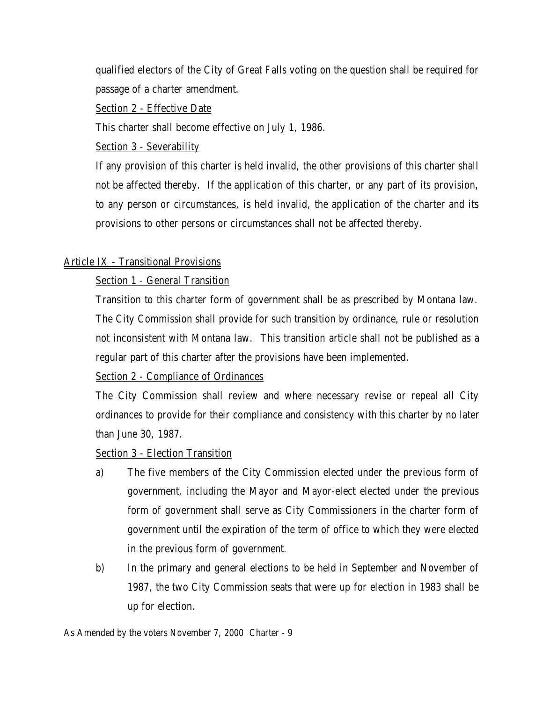qualified electors of the City of Great Falls voting on the question shall be required for passage of a charter amendment.

Section 2 - Effective Date

This charter shall become effective on July 1, 1986.

Section 3 - Severability

If any provision of this charter is held invalid, the other provisions of this charter shall not be affected thereby. If the application of this charter, or any part of its provision, to any person or circumstances, is held invalid, the application of the charter and its provisions to other persons or circumstances shall not be affected thereby.

## Article IX - Transitional Provisions

# Section 1 - General Transition

Transition to this charter form of government shall be as prescribed by Montana law. The City Commission shall provide for such transition by ordinance, rule or resolution not inconsistent with Montana law. This transition article shall not be published as a regular part of this charter after the provisions have been implemented.

## Section 2 - Compliance of Ordinances

The City Commission shall review and where necessary revise or repeal all City ordinances to provide for their compliance and consistency with this charter by no later than June 30, 1987.

## Section 3 - Election Transition

- a) The five members of the City Commission elected under the previous form of government, including the Mayor and Mayor-elect elected under the previous form of government shall serve as City Commissioners in the charter form of government until the expiration of the term of office to which they were elected in the previous form of government.
- b) In the primary and general elections to be held in September and November of 1987, the two City Commission seats that were up for election in 1983 shall be up for election.